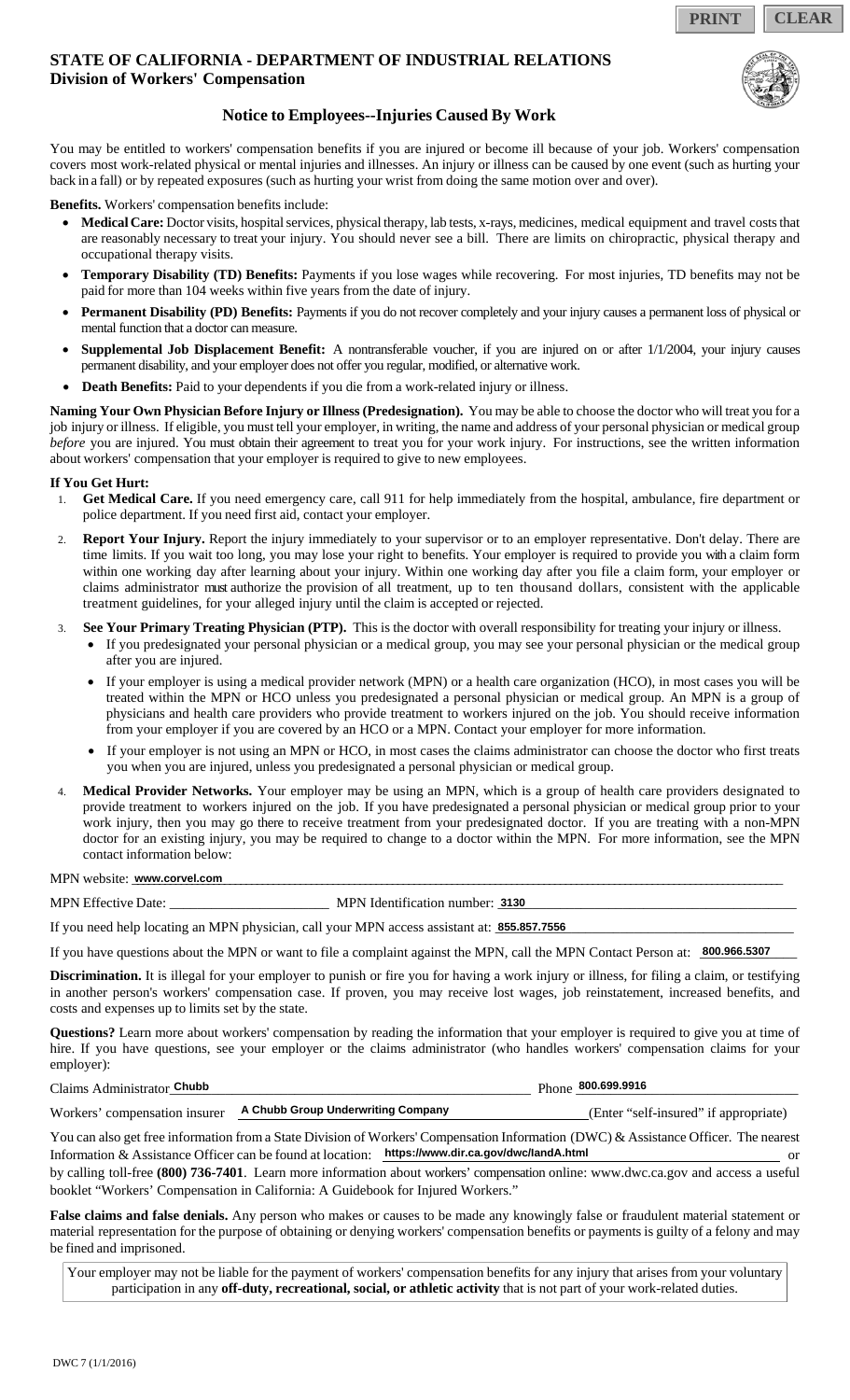**PRINT CLEAR**

## **STATE OF CALIFORNIA - DEPARTMENT OF INDUSTRIAL RELATIONS Division of Workers' Compensation**



## **Notice to Employees--Injuries Caused By Work**

You may be entitled to workers' compensation benefits if you are injured or become ill because of your job. Workers' compensation covers most work-related physical or mental injuries and illnesses. An injury or illness can be caused by one event (such as hurting your back in a fall) or by repeated exposures (such as hurting your wrist from doing the same motion over and over).

**Benefits.** Workers' compensation benefits include:

- **Medical Care:** Doctor visits, hospital services, physical therapy, lab tests, x-rays, medicines, medical equipment and travel costs that are reasonably necessary to treat your injury. You should never see a bill. There are limits on chiropractic, physical therapy and occupational therapy visits.
- **Temporary Disability (TD) Benefits:** Payments if you lose wages while recovering. For most injuries, TD benefits may not be paid for more than 104 weeks within five years from the date of injury.
- **Permanent Disability (PD) Benefits:** Payments if you do not recover completely and your injury causes a permanent loss of physical or mental function that a doctor can measure.
- **Supplemental Job Displacement Benefit:** A nontransferable voucher, if you are injured on or after 1/1/2004, your injury causes permanent disability, and your employer does not offer you regular, modified, or alternative work.
- **Death Benefits:** Paid to your dependents if you die from a work-related injury or illness.

**Naming Your Own Physician Before Injury or Illness (Predesignation).** You may be able to choose the doctor who will treat you for a job injury or illness. If eligible, you must tell your employer, in writing, the name and address of your personal physician or medical group *before* you are injured. You must obtain their agreement to treat you for your work injury. For instructions, see the written information about workers' compensation that your employer is required to give to new employees.

#### **If You Get Hurt:**

- 1. **Get Medical Care.** If you need emergency care, call 911 for help immediately from the hospital, ambulance, fire department or police department. If you need first aid, contact your employer.
- Report Your Injury. Report the injury immediately to your supervisor or to an employer representative. Don't delay. There are time limits. If you wait too long, you may lose your right to benefits. Your employer is required to provide you with a claim form within one working day after learning about your injury. Within one working day after you file a claim form, your employer or claims administrator must authorize the provision of all treatment, up to ten thousand dollars, consistent with the applicable treatment guidelines, for your alleged injury until the claim is accepted or rejected.
- 3. **See Your Primary Treating Physician (PTP).** This is the doctor with overall responsibility for treating your injury or illness.
	- If you predesignated your personal physician or a medical group, you may see your personal physician or the medical group after you are injured.
	- If your employer is using a medical provider network (MPN) or a health care organization (HCO), in most cases you will be treated within the MPN or HCO unless you predesignated a personal physician or medical group. An MPN is a group of physicians and health care providers who provide treatment to workers injured on the job. You should receive information from your employer if you are covered by an HCO or a MPN. Contact your employer for more information.
	- If your employer is not using an MPN or HCO, in most cases the claims administrator can choose the doctor who first treats you when you are injured, unless you predesignated a personal physician or medical group.
- 4. **Medical Provider Networks.** Your employer may be using an MPN, which is a group of health care providers designated to provide treatment to workers injured on the job. If you have predesignated a personal physician or medical group prior to your work injury, then you may go there to receive treatment from your predesignated doctor. If you are treating with a non-MPN doctor for an existing injury, you may be required to change to a doctor within the MPN. For more information, see the MPN contact information below:

MPN website: <u>www.corvel.com</u>

MPN Effective Date: \_\_\_\_\_\_\_\_\_\_\_\_\_\_\_\_\_\_\_\_\_\_\_ MPN Identification number: \_\_\_\_\_\_\_\_\_\_\_\_\_\_\_\_\_\_\_\_\_\_\_\_\_\_\_\_\_\_\_\_\_\_\_\_\_\_\_\_\_\_\_ **3130**

If you need help locating an MPN physician, call your MPN access assistant at: **855.857.7556** 

If you have questions about the MPN or want to file a complaint against the MPN, call the MPN Contact Person at: \_\_\_\_\_\_\_\_\_\_\_\_\_\_ **800.966.5307**

**Discrimination.** It is illegal for your employer to punish or fire you for having a work injury or illness, for filing a claim, or testifying in another person's workers' compensation case. If proven, you may receive lost wages, job reinstatement, increased benefits, and costs and expenses up to limits set by the state.

**Questions?** Learn more about workers' compensation by reading the information that your employer is required to give you at time of hire. If you have questions, see your employer or the claims administrator (who handles workers' compensation claims for your employer):

| Claims Administrator Chubb |                                                                  | Phone 800.699.9916                    |
|----------------------------|------------------------------------------------------------------|---------------------------------------|
|                            | Workers' compensation insurer A Chubb Group Underwriting Company | (Enter "self-insured" if appropriate) |

You can also get free information from a State Division of Workers' Compensation Information (DWC) & Assistance Officer. The nearest Information & Assistance Officer can be found at location: https://www.dir.ca.gov/dwc/landA.html or **A Chubb Group Underwriting Company<br>rom a State Division of Workers' Compensation Information (D)**<br>can be found at location: https://www.dir.ca.gov/dwc/IandA.html

by calling toll-free **(800) 736-7401**. Learn more information about workers' compensation online: www.dwc.ca.gov and access a useful booklet "Workers' Compensation in California: A Guidebook for Injured Workers."

**False claims and false denials.** Any person who makes or causes to be made any knowingly false or fraudulent material statement or material representation for the purpose of obtaining or denying workers' compensation benefits or payments is guilty of a felony and may be fined and imprisoned.

Your employer may not be liable for the payment of workers' compensation benefits for any injury that arises from your voluntary participation in any **off-duty, recreational, social, or athletic activity** that is not part of your work-related duties.